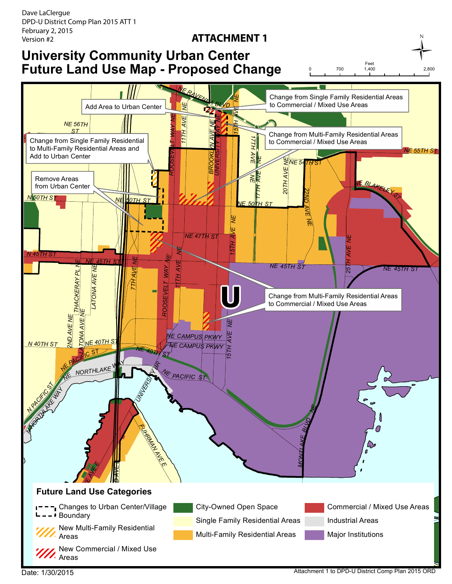